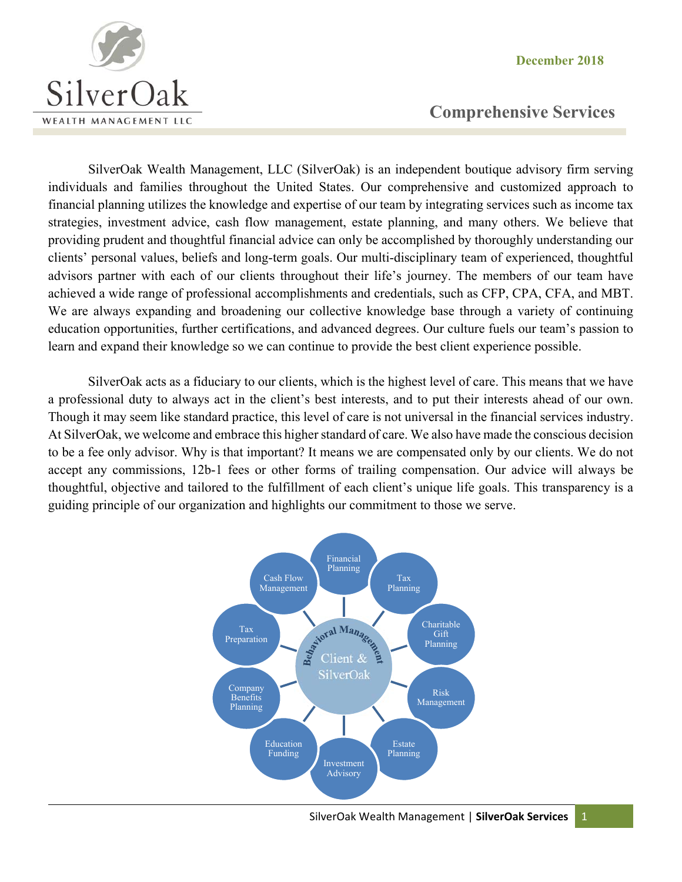**December 2018** 



# **Comprehensive Services**

SilverOak Wealth Management, LLC (SilverOak) is an independent boutique advisory firm serving individuals and families throughout the United States. Our comprehensive and customized approach to financial planning utilizes the knowledge and expertise of our team by integrating services such as income tax strategies, investment advice, cash flow management, estate planning, and many others. We believe that providing prudent and thoughtful financial advice can only be accomplished by thoroughly understanding our clients' personal values, beliefs and long-term goals. Our multi-disciplinary team of experienced, thoughtful advisors partner with each of our clients throughout their life's journey. The members of our team have achieved a wide range of professional accomplishments and credentials, such as CFP, CPA, CFA, and MBT. We are always expanding and broadening our collective knowledge base through a variety of continuing education opportunities, further certifications, and advanced degrees. Our culture fuels our team's passion to learn and expand their knowledge so we can continue to provide the best client experience possible.

SilverOak acts as a fiduciary to our clients, which is the highest level of care. This means that we have a professional duty to always act in the client's best interests, and to put their interests ahead of our own. Though it may seem like standard practice, this level of care is not universal in the financial services industry. At SilverOak, we welcome and embrace this higher standard of care. We also have made the conscious decision to be a fee only advisor. Why is that important? It means we are compensated only by our clients. We do not accept any commissions, 12b-1 fees or other forms of trailing compensation. Our advice will always be thoughtful, objective and tailored to the fulfillment of each client's unique life goals. This transparency is a guiding principle of our organization and highlights our commitment to those we serve.

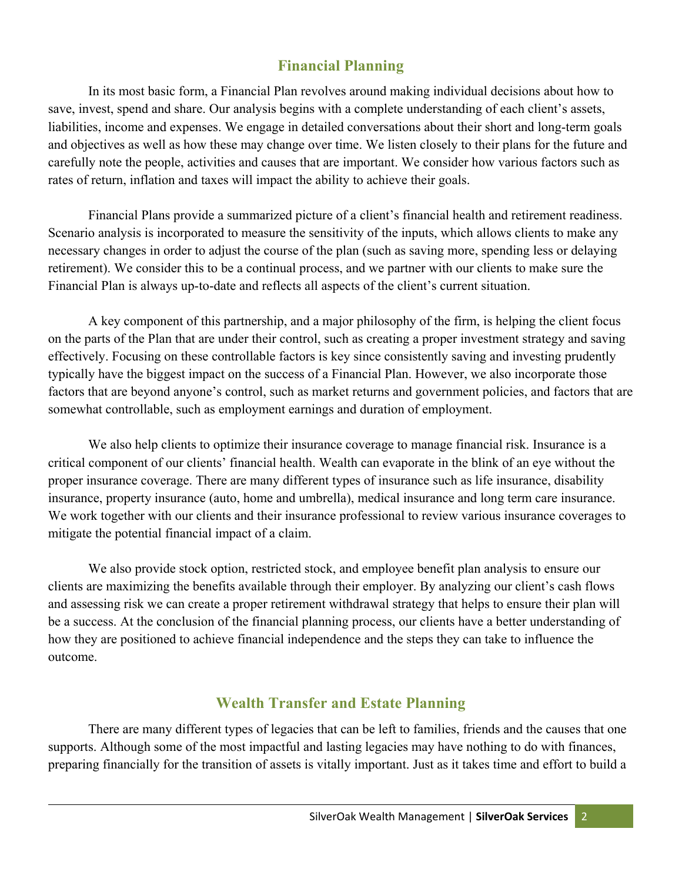# **Financial Planning**

In its most basic form, a Financial Plan revolves around making individual decisions about how to save, invest, spend and share. Our analysis begins with a complete understanding of each client's assets, liabilities, income and expenses. We engage in detailed conversations about their short and long-term goals and objectives as well as how these may change over time. We listen closely to their plans for the future and carefully note the people, activities and causes that are important. We consider how various factors such as rates of return, inflation and taxes will impact the ability to achieve their goals.

Financial Plans provide a summarized picture of a client's financial health and retirement readiness. Scenario analysis is incorporated to measure the sensitivity of the inputs, which allows clients to make any necessary changes in order to adjust the course of the plan (such as saving more, spending less or delaying retirement). We consider this to be a continual process, and we partner with our clients to make sure the Financial Plan is always up-to-date and reflects all aspects of the client's current situation.

A key component of this partnership, and a major philosophy of the firm, is helping the client focus on the parts of the Plan that are under their control, such as creating a proper investment strategy and saving effectively. Focusing on these controllable factors is key since consistently saving and investing prudently typically have the biggest impact on the success of a Financial Plan. However, we also incorporate those factors that are beyond anyone's control, such as market returns and government policies, and factors that are somewhat controllable, such as employment earnings and duration of employment.

We also help clients to optimize their insurance coverage to manage financial risk. Insurance is a critical component of our clients' financial health. Wealth can evaporate in the blink of an eye without the proper insurance coverage. There are many different types of insurance such as life insurance, disability insurance, property insurance (auto, home and umbrella), medical insurance and long term care insurance. We work together with our clients and their insurance professional to review various insurance coverages to mitigate the potential financial impact of a claim.

We also provide stock option, restricted stock, and employee benefit plan analysis to ensure our clients are maximizing the benefits available through their employer. By analyzing our client's cash flows and assessing risk we can create a proper retirement withdrawal strategy that helps to ensure their plan will be a success. At the conclusion of the financial planning process, our clients have a better understanding of how they are positioned to achieve financial independence and the steps they can take to influence the outcome.

### **Wealth Transfer and Estate Planning**

There are many different types of legacies that can be left to families, friends and the causes that one supports. Although some of the most impactful and lasting legacies may have nothing to do with finances, preparing financially for the transition of assets is vitally important. Just as it takes time and effort to build a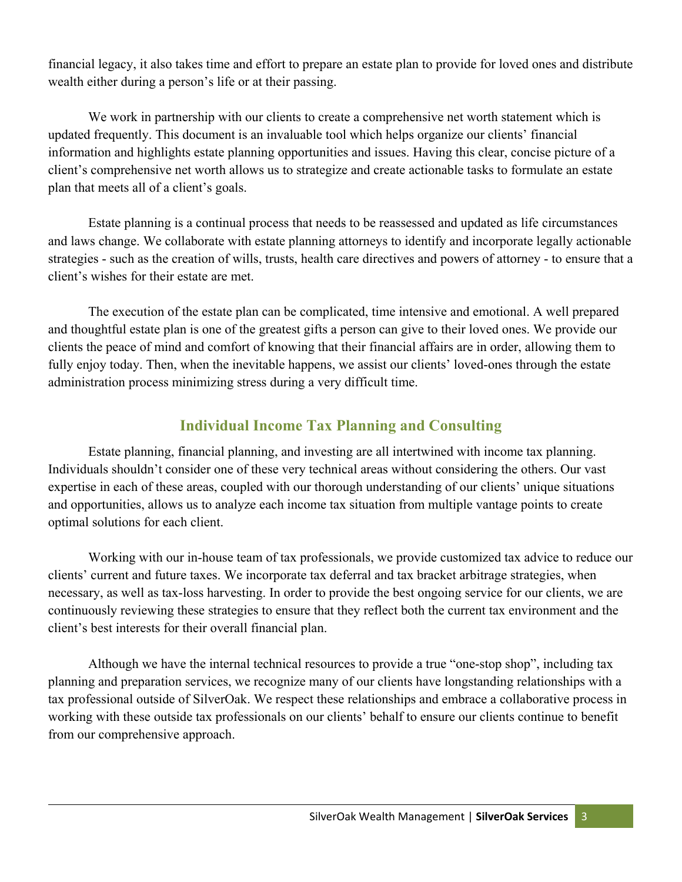financial legacy, it also takes time and effort to prepare an estate plan to provide for loved ones and distribute wealth either during a person's life or at their passing.

We work in partnership with our clients to create a comprehensive net worth statement which is updated frequently. This document is an invaluable tool which helps organize our clients' financial information and highlights estate planning opportunities and issues. Having this clear, concise picture of a client's comprehensive net worth allows us to strategize and create actionable tasks to formulate an estate plan that meets all of a client's goals.

Estate planning is a continual process that needs to be reassessed and updated as life circumstances and laws change. We collaborate with estate planning attorneys to identify and incorporate legally actionable strategies - such as the creation of wills, trusts, health care directives and powers of attorney - to ensure that a client's wishes for their estate are met.

The execution of the estate plan can be complicated, time intensive and emotional. A well prepared and thoughtful estate plan is one of the greatest gifts a person can give to their loved ones. We provide our clients the peace of mind and comfort of knowing that their financial affairs are in order, allowing them to fully enjoy today. Then, when the inevitable happens, we assist our clients' loved-ones through the estate administration process minimizing stress during a very difficult time.

## **Individual Income Tax Planning and Consulting**

Estate planning, financial planning, and investing are all intertwined with income tax planning. Individuals shouldn't consider one of these very technical areas without considering the others. Our vast expertise in each of these areas, coupled with our thorough understanding of our clients' unique situations and opportunities, allows us to analyze each income tax situation from multiple vantage points to create optimal solutions for each client.

Working with our in-house team of tax professionals, we provide customized tax advice to reduce our clients' current and future taxes. We incorporate tax deferral and tax bracket arbitrage strategies, when necessary, as well as tax-loss harvesting. In order to provide the best ongoing service for our clients, we are continuously reviewing these strategies to ensure that they reflect both the current tax environment and the client's best interests for their overall financial plan.

Although we have the internal technical resources to provide a true "one-stop shop", including tax planning and preparation services, we recognize many of our clients have longstanding relationships with a tax professional outside of SilverOak. We respect these relationships and embrace a collaborative process in working with these outside tax professionals on our clients' behalf to ensure our clients continue to benefit from our comprehensive approach.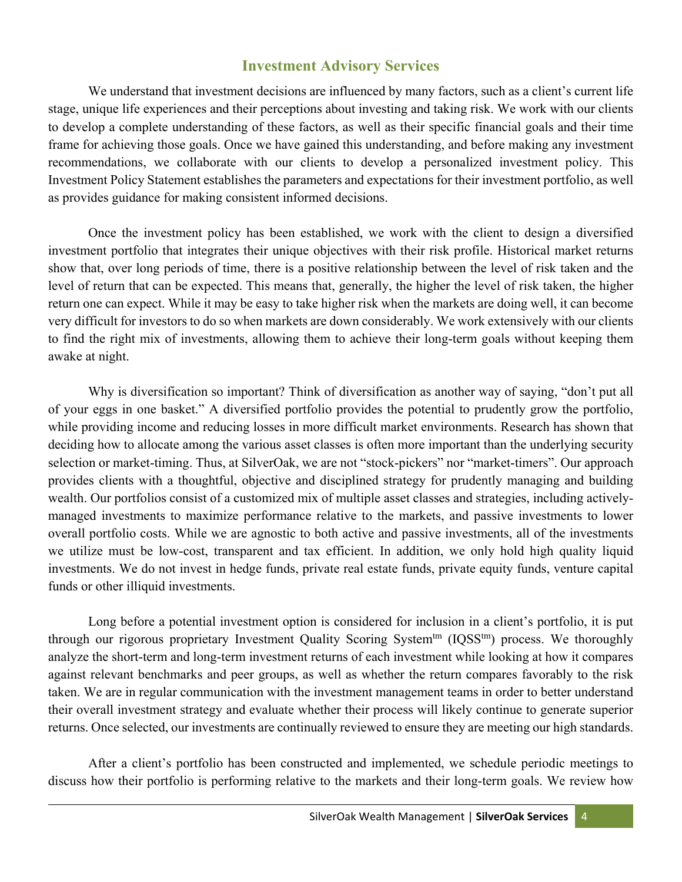#### **Investment Advisory Services**

We understand that investment decisions are influenced by many factors, such as a client's current life stage, unique life experiences and their perceptions about investing and taking risk. We work with our clients to develop a complete understanding of these factors, as well as their specific financial goals and their time frame for achieving those goals. Once we have gained this understanding, and before making any investment recommendations, we collaborate with our clients to develop a personalized investment policy. This Investment Policy Statement establishes the parameters and expectations for their investment portfolio, as well as provides guidance for making consistent informed decisions.

Once the investment policy has been established, we work with the client to design a diversified investment portfolio that integrates their unique objectives with their risk profile. Historical market returns show that, over long periods of time, there is a positive relationship between the level of risk taken and the level of return that can be expected. This means that, generally, the higher the level of risk taken, the higher return one can expect. While it may be easy to take higher risk when the markets are doing well, it can become very difficult for investors to do so when markets are down considerably. We work extensively with our clients to find the right mix of investments, allowing them to achieve their long-term goals without keeping them awake at night.

Why is diversification so important? Think of diversification as another way of saying, "don't put all of your eggs in one basket." A diversified portfolio provides the potential to prudently grow the portfolio, while providing income and reducing losses in more difficult market environments. Research has shown that deciding how to allocate among the various asset classes is often more important than the underlying security selection or market-timing. Thus, at SilverOak, we are not "stock-pickers" nor "market-timers". Our approach provides clients with a thoughtful, objective and disciplined strategy for prudently managing and building wealth. Our portfolios consist of a customized mix of multiple asset classes and strategies, including activelymanaged investments to maximize performance relative to the markets, and passive investments to lower overall portfolio costs. While we are agnostic to both active and passive investments, all of the investments we utilize must be low-cost, transparent and tax efficient. In addition, we only hold high quality liquid investments. We do not invest in hedge funds, private real estate funds, private equity funds, venture capital funds or other illiquid investments.

Long before a potential investment option is considered for inclusion in a client's portfolio, it is put through our rigorous proprietary Investment Quality Scoring System<sup>tm</sup> (IQSS<sup>tm</sup>) process. We thoroughly analyze the short-term and long-term investment returns of each investment while looking at how it compares against relevant benchmarks and peer groups, as well as whether the return compares favorably to the risk taken. We are in regular communication with the investment management teams in order to better understand their overall investment strategy and evaluate whether their process will likely continue to generate superior returns. Once selected, our investments are continually reviewed to ensure they are meeting our high standards.

After a client's portfolio has been constructed and implemented, we schedule periodic meetings to discuss how their portfolio is performing relative to the markets and their long-term goals. We review how